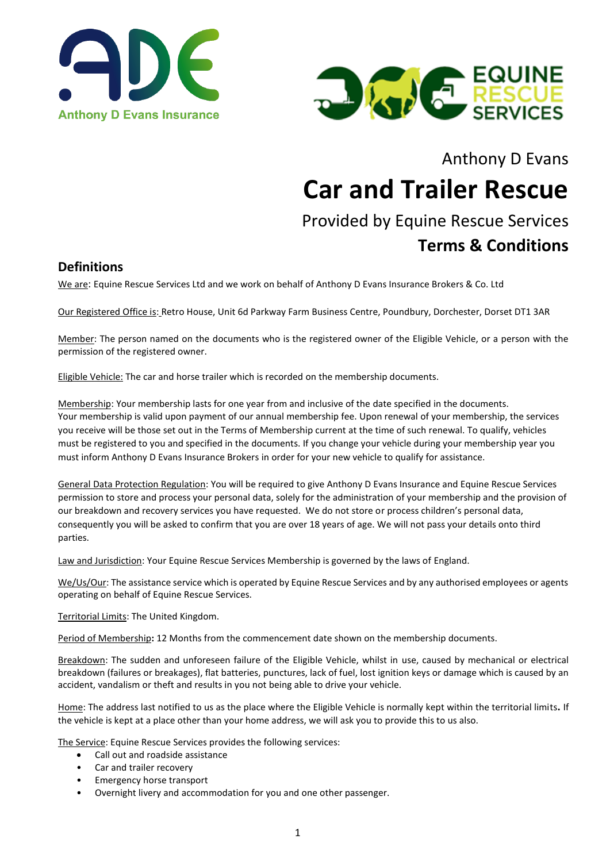



# Anthony D Evans

# **Car and Trailer Rescue**

# Provided by Equine Rescue Services **Terms & Conditions**

### **Definitions**

We are: Equine Rescue Services Ltd and we work on behalf of Anthony D Evans Insurance Brokers & Co. Ltd

Our Registered Office is: Retro House, Unit 6d Parkway Farm Business Centre, Poundbury, Dorchester, Dorset DT1 3AR

Member: The person named on the documents who is the registered owner of the Eligible Vehicle, or a person with the permission of the registered owner.

Eligible Vehicle: The car and horse trailer which is recorded on the membership documents.

Membership: Your membership lasts for one year from and inclusive of the date specified in the documents. Your membership is valid upon payment of our annual membership fee. Upon renewal of your membership, the services you receive will be those set out in the Terms of Membership current at the time of such renewal. To qualify, vehicles must be registered to you and specified in the documents. If you change your vehicle during your membership year you must inform Anthony D Evans Insurance Brokers in order for your new vehicle to qualify for assistance.

General Data Protection Regulation: You will be required to give Anthony D Evans Insurance and Equine Rescue Services permission to store and process your personal data, solely for the administration of your membership and the provision of our breakdown and recovery services you have requested. We do not store or process children's personal data, consequently you will be asked to confirm that you are over 18 years of age. We will not pass your details onto third parties.

Law and Jurisdiction: Your Equine Rescue Services Membership is governed by the laws of England.

We/Us/Our: The assistance service which is operated by Equine Rescue Services and by any authorised employees or agents operating on behalf of Equine Rescue Services.

Territorial Limits: The United Kingdom.

Period of Membership**:** 12 Months from the commencement date shown on the membership documents.

Breakdown: The sudden and unforeseen failure of the Eligible Vehicle, whilst in use, caused by mechanical or electrical breakdown (failures or breakages), flat batteries, punctures, lack of fuel, lost ignition keys or damage which is caused by an accident, vandalism or theft and results in you not being able to drive your vehicle.

Home: The address last notified to us as the place where the Eligible Vehicle is normally kept within the territorial limits**.** If the vehicle is kept at a place other than your home address, we will ask you to provide this to us also.

The Service: Equine Rescue Services provides the following services:

- Call out and roadside assistance
- Car and trailer recovery
- Emergency horse transport
- Overnight livery and accommodation for you and one other passenger.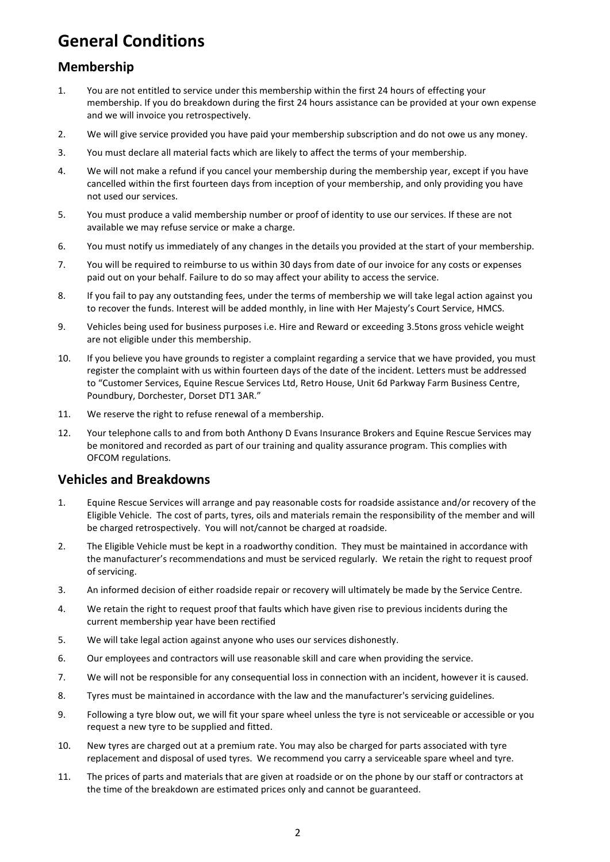# **General Conditions**

# **Membership**

- 1. You are not entitled to service under this membership within the first 24 hours of effecting your membership. If you do breakdown during the first 24 hours assistance can be provided at your own expense and we will invoice you retrospectively.
- 2. We will give service provided you have paid your membership subscription and do not owe us any money.
- 3. You must declare all material facts which are likely to affect the terms of your membership.
- 4. We will not make a refund if you cancel your membership during the membership year, except if you have cancelled within the first fourteen days from inception of your membership, and only providing you have not used our services.
- 5. You must produce a valid membership number or proof of identity to use our services. If these are not available we may refuse service or make a charge.
- 6. You must notify us immediately of any changes in the details you provided at the start of your membership.
- 7. You will be required to reimburse to us within 30 days from date of our invoice for any costs or expenses paid out on your behalf. Failure to do so may affect your ability to access the service.
- 8. If you fail to pay any outstanding fees, under the terms of membership we will take legal action against you to recover the funds. Interest will be added monthly, in line with Her Majesty's Court Service, HMCS.
- 9. Vehicles being used for business purposes i.e. Hire and Reward or exceeding 3.5tons gross vehicle weight are not eligible under this membership.
- 10. If you believe you have grounds to register a complaint regarding a service that we have provided, you must register the complaint with us within fourteen days of the date of the incident. Letters must be addressed to "Customer Services, Equine Rescue Services Ltd, Retro House, Unit 6d Parkway Farm Business Centre, Poundbury, Dorchester, Dorset DT1 3AR."
- 11. We reserve the right to refuse renewal of a membership.
- 12. Your telephone calls to and from both Anthony D Evans Insurance Brokers and Equine Rescue Services may be monitored and recorded as part of our training and quality assurance program. This complies with OFCOM regulations.

## **Vehicles and Breakdowns**

- 1. Equine Rescue Services will arrange and pay reasonable costs for roadside assistance and/or recovery of the Eligible Vehicle. The cost of parts, tyres, oils and materials remain the responsibility of the member and will be charged retrospectively. You will not/cannot be charged at roadside.
- 2. The Eligible Vehicle must be kept in a roadworthy condition. They must be maintained in accordance with the manufacturer's recommendations and must be serviced regularly. We retain the right to request proof of servicing.
- 3. An informed decision of either roadside repair or recovery will ultimately be made by the Service Centre.
- 4. We retain the right to request proof that faults which have given rise to previous incidents during the current membership year have been rectified
- 5. We will take legal action against anyone who uses our services dishonestly.
- 6. Our employees and contractors will use reasonable skill and care when providing the service.
- 7. We will not be responsible for any consequential loss in connection with an incident, however it is caused.
- 8. Tyres must be maintained in accordance with the law and the manufacturer's servicing guidelines.
- 9. Following a tyre blow out, we will fit your spare wheel unless the tyre is not serviceable or accessible or you request a new tyre to be supplied and fitted.
- 10. New tyres are charged out at a premium rate. You may also be charged for parts associated with tyre replacement and disposal of used tyres. We recommend you carry a serviceable spare wheel and tyre.
- 11. The prices of parts and materials that are given at roadside or on the phone by our staff or contractors at the time of the breakdown are estimated prices only and cannot be guaranteed.